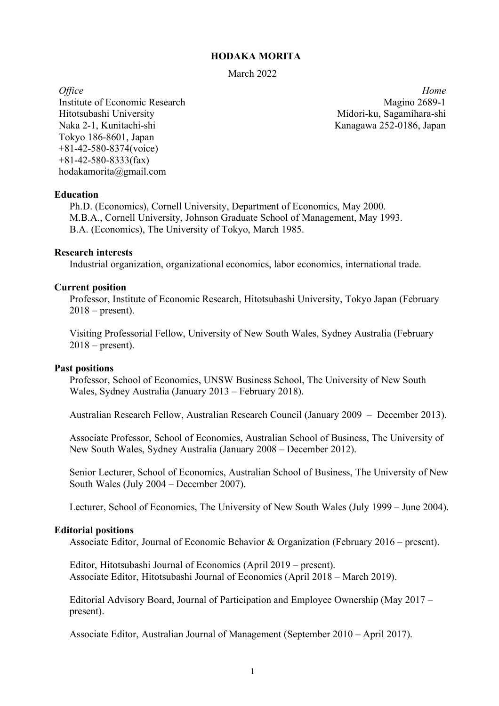## **HODAKA MORITA**

March 2022

Institute of Economic Research Hitotsubashi University Naka 2-1, Kunitachi-shi Tokyo 186-8601, Japan +81-42-580-8374(voice) +81-42-580-8333(fax) hodakamorita@gmail.com

*Office Home* Magino 2689-1 Midori-ku, Sagamihara-shi Kanagawa 252-0186, Japan

#### **Education**

Ph.D. (Economics), Cornell University, Department of Economics, May 2000. M.B.A., Cornell University, Johnson Graduate School of Management, May 1993. B.A. (Economics), The University of Tokyo, March 1985.

## **Research interests**

Industrial organization, organizational economics, labor economics, international trade.

#### **Current position**

Professor, Institute of Economic Research, Hitotsubashi University, Tokyo Japan (February  $2018$  – present).

Visiting Professorial Fellow, University of New South Wales, Sydney Australia (February  $2018$  – present).

#### **Past positions**

Professor, School of Economics, UNSW Business School, The University of New South Wales, Sydney Australia (January 2013 – February 2018).

Australian Research Fellow, Australian Research Council (January 2009 – December 2013).

Associate Professor, School of Economics, Australian School of Business, The University of New South Wales, Sydney Australia (January 2008 – December 2012).

Senior Lecturer, School of Economics, Australian School of Business, The University of New South Wales (July 2004 – December 2007).

Lecturer, School of Economics, The University of New South Wales (July 1999 – June 2004).

#### **Editorial positions**

Associate Editor, Journal of Economic Behavior & Organization (February 2016 – present).

Editor, Hitotsubashi Journal of Economics (April 2019 – present). Associate Editor, Hitotsubashi Journal of Economics (April 2018 – March 2019).

Editorial Advisory Board, Journal of Participation and Employee Ownership (May 2017 – present).

Associate Editor, Australian Journal of Management (September 2010 – April 2017).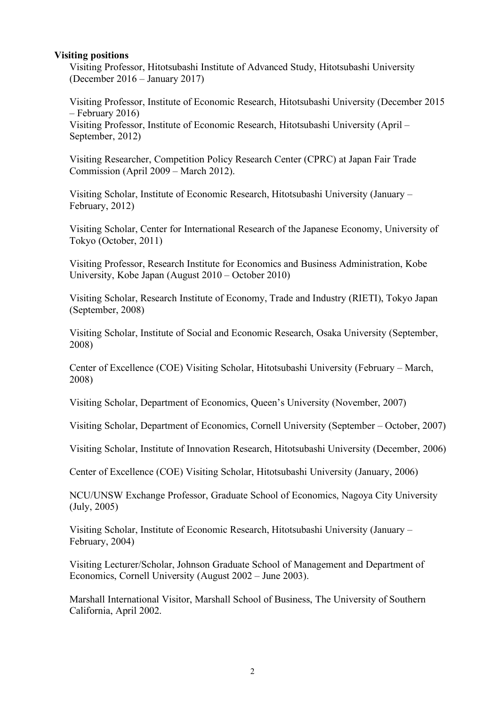## **Visiting positions**

Visiting Professor, Hitotsubashi Institute of Advanced Study, Hitotsubashi University (December 2016 – January 2017)

Visiting Professor, Institute of Economic Research, Hitotsubashi University (December 2015 – February 2016)

Visiting Professor, Institute of Economic Research, Hitotsubashi University (April – September, 2012)

Visiting Researcher, Competition Policy Research Center (CPRC) at Japan Fair Trade Commission (April 2009 – March 2012).

Visiting Scholar, Institute of Economic Research, Hitotsubashi University (January – February, 2012)

Visiting Scholar, Center for International Research of the Japanese Economy, University of Tokyo (October, 2011)

Visiting Professor, Research Institute for Economics and Business Administration, Kobe University, Kobe Japan (August 2010 – October 2010)

Visiting Scholar, Research Institute of Economy, Trade and Industry (RIETI), Tokyo Japan (September, 2008)

Visiting Scholar, Institute of Social and Economic Research, Osaka University (September, 2008)

Center of Excellence (COE) Visiting Scholar, Hitotsubashi University (February – March, 2008)

Visiting Scholar, Department of Economics, Queen's University (November, 2007)

Visiting Scholar, Department of Economics, Cornell University (September – October, 2007)

Visiting Scholar, Institute of Innovation Research, Hitotsubashi University (December, 2006)

Center of Excellence (COE) Visiting Scholar, Hitotsubashi University (January, 2006)

NCU/UNSW Exchange Professor, Graduate School of Economics, Nagoya City University (July, 2005)

Visiting Scholar, Institute of Economic Research, Hitotsubashi University (January – February, 2004)

Visiting Lecturer/Scholar, Johnson Graduate School of Management and Department of Economics, Cornell University (August 2002 – June 2003).

Marshall International Visitor, Marshall School of Business, The University of Southern California, April 2002.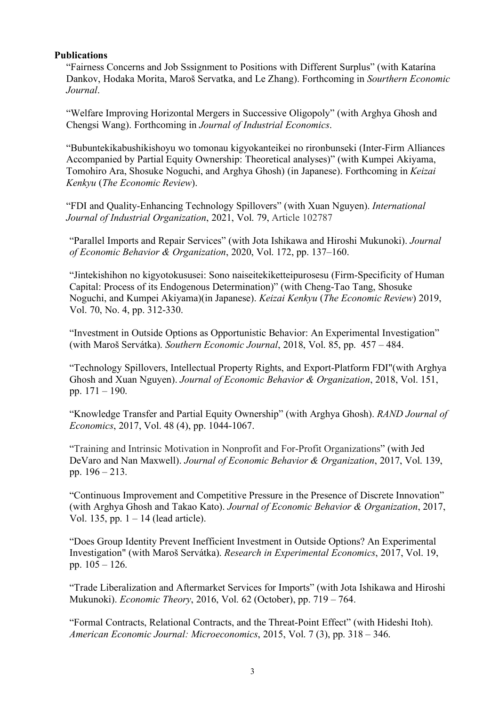## **Publications**

"Fairness Concerns and Job Sssignment to Positions with Different Surplus" (with Katarína Dankov, Hodaka Morita, Maroš Servatka, and Le Zhang). Forthcoming in *Sourthern Economic Journal*.

"Welfare Improving Horizontal Mergers in Successive Oligopoly" (with Arghya Ghosh and Chengsi Wang). Forthcoming in *Journal of Industrial Economics*.

"Bubuntekikabushikishoyu wo tomonau kigyokanteikei no rironbunseki (Inter-Firm Alliances Accompanied by Partial Equity Ownership: Theoretical analyses)" (with Kumpei Akiyama, Tomohiro Ara, Shosuke Noguchi, and Arghya Ghosh) (in Japanese). Forthcoming in *Keizai Kenkyu* (*The Economic Review*).

"FDI and Quality-Enhancing Technology Spillovers" (with Xuan Nguyen). *International Journal of Industrial Organization*, 2021, Vol. 79, Article 102787

"Parallel Imports and Repair Services" (with Jota Ishikawa and Hiroshi Mukunoki). *Journal of Economic Behavior & Organization*, 2020, Vol. 172, pp. 137–160.

"Jintekishihon no kigyotokususei: Sono naiseitekiketteipurosesu (Firm-Specificity of Human Capital: Process of its Endogenous Determination)" (with Cheng-Tao Tang, Shosuke Noguchi, and Kumpei Akiyama)(in Japanese). *Keizai Kenkyu* (*The Economic Review*) 2019, Vol. 70, No. 4, pp. 312-330.

"Investment in Outside Options as Opportunistic Behavior: An Experimental Investigation" (with Maroš Servátka). *Southern Economic Journal*, 2018, Vol. 85, pp. 457 – 484.

"Technology Spillovers, Intellectual Property Rights, and Export-Platform FDI"(with Arghya Ghosh and Xuan Nguyen). *Journal of Economic Behavior & Organization*, 2018, Vol. 151, pp. 171 – 190.

"Knowledge Transfer and Partial Equity Ownership" (with Arghya Ghosh). *RAND Journal of Economics*, 2017, Vol. 48 (4), pp. 1044-1067.

"Training and Intrinsic Motivation in Nonprofit and For-Profit Organizations" (with Jed DeVaro and Nan Maxwell). *Journal of Economic Behavior & Organization*, 2017, Vol. 139, pp. 196 – 213.

"Continuous Improvement and Competitive Pressure in the Presence of Discrete Innovation" (with Arghya Ghosh and Takao Kato). *Journal of Economic Behavior & Organization*, 2017, Vol. 135, pp.  $1 - 14$  (lead article).

"Does Group Identity Prevent Inefficient Investment in Outside Options? An Experimental Investigation" (with Maroš Servátka). *Research in Experimental Economics*, 2017, Vol. 19, pp. 105 – 126.

"Trade Liberalization and Aftermarket Services for Imports" (with Jota Ishikawa and Hiroshi Mukunoki). *Economic Theory*, 2016, Vol. 62 (October), pp. 719 – 764.

"Formal Contracts, Relational Contracts, and the Threat-Point Effect" (with Hideshi Itoh). *American Economic Journal: Microeconomics*, 2015, Vol. 7 (3), pp. 318 – 346.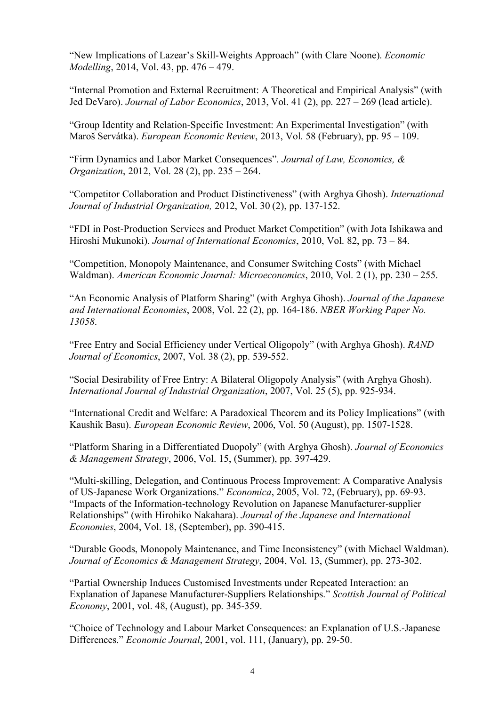"New Implications of Lazear's Skill-Weights Approach" (with Clare Noone). *Economic Modelling*, 2014, Vol. 43, pp. 476 – 479.

"Internal Promotion and External Recruitment: A Theoretical and Empirical Analysis" (with Jed DeVaro). *Journal of Labor Economics*, 2013, Vol. 41 (2), pp. 227 – 269 (lead article).

"Group Identity and Relation-Specific Investment: An Experimental Investigation" (with Maroš Servátka). *European Economic Review*, 2013, Vol. 58 (February), pp. 95 – 109.

"Firm Dynamics and Labor Market Consequences". *Journal of Law, Economics, & Organization*, 2012, Vol. 28 (2), pp. 235 – 264.

"Competitor Collaboration and Product Distinctiveness" (with Arghya Ghosh). *International Journal of Industrial Organization,* 2012, Vol. 30 (2), pp. 137-152.

"FDI in Post-Production Services and Product Market Competition" (with Jota Ishikawa and Hiroshi Mukunoki). *Journal of International Economics*, 2010, Vol. 82, pp. 73 – 84.

"Competition, Monopoly Maintenance, and Consumer Switching Costs" (with Michael Waldman). *American Economic Journal: Microeconomics*, 2010, Vol. 2 (1), pp. 230 – 255.

"An Economic Analysis of Platform Sharing" (with Arghya Ghosh). *Journal of the Japanese and International Economies*, 2008, Vol. 22 (2), pp. 164-186. *NBER Working Paper No. 13058*.

"Free Entry and Social Efficiency under Vertical Oligopoly" (with Arghya Ghosh). *RAND Journal of Economics*, 2007, Vol. 38 (2), pp. 539-552.

"Social Desirability of Free Entry: A Bilateral Oligopoly Analysis" (with Arghya Ghosh). *International Journal of Industrial Organization*, 2007, Vol. 25 (5), pp. 925-934.

"International Credit and Welfare: A Paradoxical Theorem and its Policy Implications" (with Kaushik Basu). *European Economic Review*, 2006, Vol. 50 (August), pp. 1507-1528.

"Platform Sharing in a Differentiated Duopoly" (with Arghya Ghosh). *Journal of Economics & Management Strategy*, 2006, Vol. 15, (Summer), pp. 397-429.

"Multi-skilling, Delegation, and Continuous Process Improvement: A Comparative Analysis of US-Japanese Work Organizations." *Economica*, 2005, Vol. 72, (February), pp. 69-93. "Impacts of the Information-technology Revolution on Japanese Manufacturer-supplier Relationships" (with Hirohiko Nakahara). *Journal of the Japanese and International Economies*, 2004, Vol. 18, (September), pp. 390-415.

"Durable Goods, Monopoly Maintenance, and Time Inconsistency" (with Michael Waldman). *Journal of Economics & Management Strategy*, 2004, Vol. 13, (Summer), pp. 273-302.

"Partial Ownership Induces Customised Investments under Repeated Interaction: an Explanation of Japanese Manufacturer-Suppliers Relationships." *Scottish Journal of Political Economy*, 2001, vol. 48, (August), pp. 345-359.

"Choice of Technology and Labour Market Consequences: an Explanation of U.S.-Japanese Differences." *Economic Journal*, 2001, vol. 111, (January), pp. 29-50.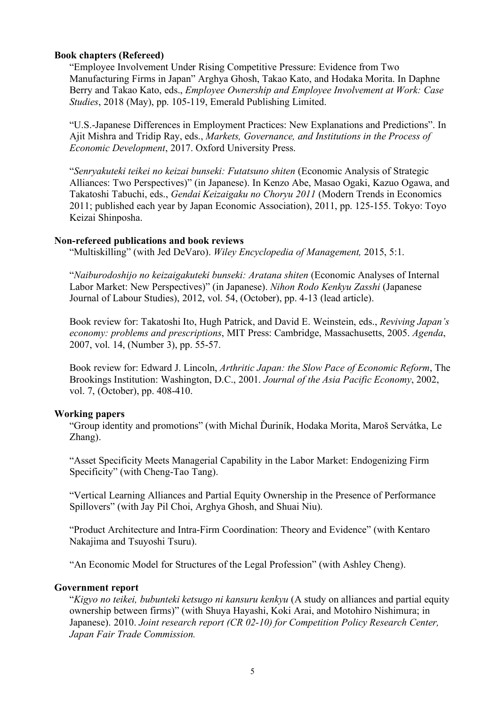## **Book chapters (Refereed)**

"Employee Involvement Under Rising Competitive Pressure: Evidence from Two Manufacturing Firms in Japan" Arghya Ghosh, Takao Kato, and Hodaka Morita. In Daphne Berry and Takao Kato, eds., *Employee Ownership and Employee Involvement at Work: Case Studies*, 2018 (May), pp. 105-119, Emerald Publishing Limited.

"U.S.-Japanese Differences in Employment Practices: New Explanations and Predictions". In Ajit Mishra and Tridip Ray, eds., *Markets, Governance, and Institutions in the Process of Economic Development*, 2017. Oxford University Press.

"*Senryakuteki teikei no keizai bunseki: Futatsuno shiten* (Economic Analysis of Strategic Alliances: Two Perspectives)" (in Japanese). In Kenzo Abe, Masao Ogaki, Kazuo Ogawa, and Takatoshi Tabuchi, eds., *Gendai Keizaigaku no Choryu 2011* (Modern Trends in Economics 2011; published each year by Japan Economic Association), 2011, pp. 125-155. Tokyo: Toyo Keizai Shinposha.

## **Non-refereed publications and book reviews**

"Multiskilling" (with Jed DeVaro). *Wiley Encyclopedia of Management,* 2015, 5:1.

"*Naiburodoshijo no keizaigakuteki bunseki: Aratana shiten* (Economic Analyses of Internal Labor Market: New Perspectives)" (in Japanese). *Nihon Rodo Kenkyu Zasshi* (Japanese Journal of Labour Studies), 2012, vol. 54, (October), pp. 4-13 (lead article).

Book review for: Takatoshi Ito, Hugh Patrick, and David E. Weinstein, eds., *Reviving Japan's economy: problems and prescriptions*, MIT Press: Cambridge, Massachusetts, 2005. *Agenda*, 2007, vol. 14, (Number 3), pp. 55-57.

Book review for: Edward J. Lincoln, *Arthritic Japan: the Slow Pace of Economic Reform*, The Brookings Institution: Washington, D.C., 2001. *Journal of the Asia Pacific Economy*, 2002, vol. 7, (October), pp. 408-410.

## **Working papers**

"Group identity and promotions" (with Michal Ďuriník, Hodaka Morita, Maroš Servátka, Le Zhang).

"Asset Specificity Meets Managerial Capability in the Labor Market: Endogenizing Firm Specificity" (with Cheng-Tao Tang).

"Vertical Learning Alliances and Partial Equity Ownership in the Presence of Performance Spillovers" (with Jay Pil Choi, Arghya Ghosh, and Shuai Niu).

"Product Architecture and Intra-Firm Coordination: Theory and Evidence" (with Kentaro Nakajima and Tsuyoshi Tsuru).

"An Economic Model for Structures of the Legal Profession" (with Ashley Cheng).

## **Government report**

"*Kigyo no teikei, bubunteki ketsugo ni kansuru kenkyu* (A study on alliances and partial equity ownership between firms)" (with Shuya Hayashi, Koki Arai, and Motohiro Nishimura; in Japanese). 2010. *Joint research report (CR 02-10) for Competition Policy Research Center, Japan Fair Trade Commission.*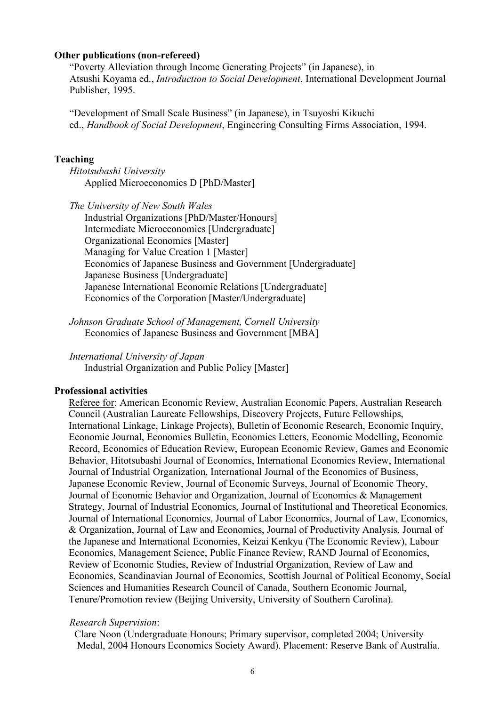#### **Other publications (non-refereed)**

"Poverty Alleviation through Income Generating Projects" (in Japanese), in Atsushi Koyama ed., *Introduction to Social Development*, International Development Journal Publisher, 1995.

"Development of Small Scale Business" (in Japanese), in Tsuyoshi Kikuchi ed., *Handbook of Social Development*, Engineering Consulting Firms Association, 1994.

#### **Teaching**

*Hitotsubashi University* Applied Microeconomics D [PhD/Master]

*The University of New South Wales* Industrial Organizations [PhD/Master/Honours] Intermediate Microeconomics [Undergraduate] Organizational Economics [Master] Managing for Value Creation 1 [Master] Economics of Japanese Business and Government [Undergraduate] Japanese Business [Undergraduate] Japanese International Economic Relations [Undergraduate] Economics of the Corporation [Master/Undergraduate]

*Johnson Graduate School of Management, Cornell University* Economics of Japanese Business and Government [MBA]

*International University of Japan* Industrial Organization and Public Policy [Master]

#### **Professional activities**

Referee for: American Economic Review, Australian Economic Papers, Australian Research Council (Australian Laureate Fellowships, Discovery Projects, Future Fellowships, International Linkage, Linkage Projects), Bulletin of Economic Research, Economic Inquiry, Economic Journal, Economics Bulletin, Economics Letters, Economic Modelling, Economic Record, Economics of Education Review, European Economic Review, Games and Economic Behavior, Hitotsubashi Journal of Economics, International Economics Review, International Journal of Industrial Organization, International Journal of the Economics of Business, Japanese Economic Review, Journal of Economic Surveys, Journal of Economic Theory, Journal of Economic Behavior and Organization, Journal of Economics & Management Strategy, Journal of Industrial Economics, Journal of Institutional and Theoretical Economics, Journal of International Economics, Journal of Labor Economics, Journal of Law, Economics, & Organization, Journal of Law and Economics, Journal of Productivity Analysis, Journal of the Japanese and International Economies, Keizai Kenkyu (The Economic Review), Labour Economics, Management Science, Public Finance Review, RAND Journal of Economics, Review of Economic Studies, Review of Industrial Organization, Review of Law and Economics, Scandinavian Journal of Economics, Scottish Journal of Political Economy, Social Sciences and Humanities Research Council of Canada, Southern Economic Journal, Tenure/Promotion review (Beijing University, University of Southern Carolina).

#### *Research Supervision*:

Clare Noon (Undergraduate Honours; Primary supervisor, completed 2004; University Medal, 2004 Honours Economics Society Award). Placement: Reserve Bank of Australia.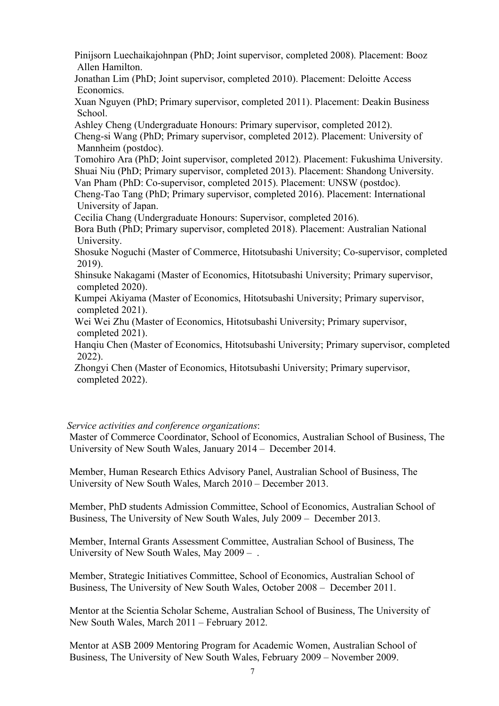Pinijsorn Luechaikajohnpan (PhD; Joint supervisor, completed 2008). Placement: Booz Allen Hamilton.

Jonathan Lim (PhD; Joint supervisor, completed 2010). Placement: Deloitte Access Economics.

Xuan Nguyen (PhD; Primary supervisor, completed 2011). Placement: Deakin Business School.

Ashley Cheng (Undergraduate Honours: Primary supervisor, completed 2012). Cheng-si Wang (PhD; Primary supervisor, completed 2012). Placement: University of Mannheim (postdoc).

Tomohiro Ara (PhD; Joint supervisor, completed 2012). Placement: Fukushima University. Shuai Niu (PhD; Primary supervisor, completed 2013). Placement: Shandong University. Van Pham (PhD: Co-supervisor, completed 2015). Placement: UNSW (postdoc).

Cheng-Tao Tang (PhD; Primary supervisor, completed 2016). Placement: International University of Japan.

Cecilia Chang (Undergraduate Honours: Supervisor, completed 2016).

Bora Buth (PhD; Primary supervisor, completed 2018). Placement: Australian National University.

Shosuke Noguchi (Master of Commerce, Hitotsubashi University; Co-supervisor, completed 2019).

Shinsuke Nakagami (Master of Economics, Hitotsubashi University; Primary supervisor, completed 2020).

Kumpei Akiyama (Master of Economics, Hitotsubashi University; Primary supervisor, completed 2021).

Wei Wei Zhu (Master of Economics, Hitotsubashi University; Primary supervisor, completed 2021).

Hanqiu Chen (Master of Economics, Hitotsubashi University; Primary supervisor, completed 2022).

Zhongyi Chen (Master of Economics, Hitotsubashi University; Primary supervisor, completed 2022).

## *Service activities and conference organizations*:

Master of Commerce Coordinator, School of Economics, Australian School of Business, The University of New South Wales, January 2014 – December 2014.

Member, Human Research Ethics Advisory Panel, Australian School of Business, The University of New South Wales, March 2010 – December 2013.

Member, PhD students Admission Committee, School of Economics, Australian School of Business, The University of New South Wales, July 2009 – December 2013.

Member, Internal Grants Assessment Committee, Australian School of Business, The University of New South Wales, May 2009 – .

Member, Strategic Initiatives Committee, School of Economics, Australian School of Business, The University of New South Wales, October 2008 – December 2011.

Mentor at the Scientia Scholar Scheme, Australian School of Business, The University of New South Wales, March 2011 – February 2012.

Mentor at ASB 2009 Mentoring Program for Academic Women, Australian School of Business, The University of New South Wales, February 2009 – November 2009.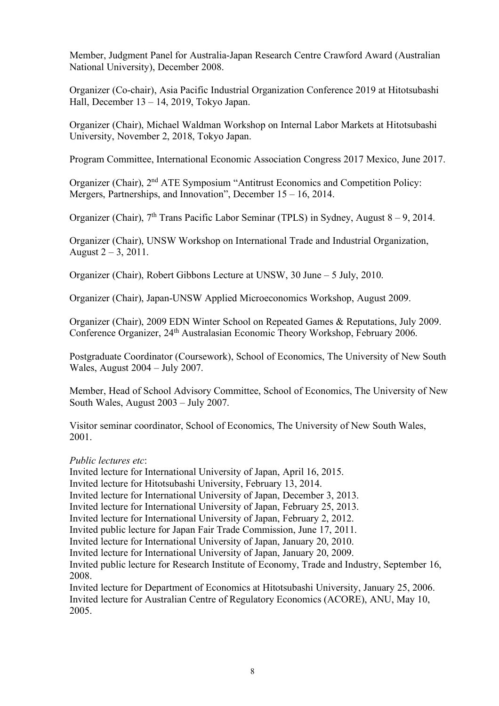Member, Judgment Panel for Australia-Japan Research Centre Crawford Award (Australian National University), December 2008.

Organizer (Co-chair), Asia Pacific Industrial Organization Conference 2019 at Hitotsubashi Hall, December 13 – 14, 2019, Tokyo Japan.

Organizer (Chair), Michael Waldman Workshop on Internal Labor Markets at Hitotsubashi University, November 2, 2018, Tokyo Japan.

Program Committee, International Economic Association Congress 2017 Mexico, June 2017.

Organizer (Chair), 2nd ATE Symposium "Antitrust Economics and Competition Policy: Mergers, Partnerships, and Innovation", December 15 – 16, 2014.

Organizer (Chair),  $7<sup>th</sup>$  Trans Pacific Labor Seminar (TPLS) in Sydney, August  $8-9$ , 2014.

Organizer (Chair), UNSW Workshop on International Trade and Industrial Organization, August  $2 - 3$ , 2011.

Organizer (Chair), Robert Gibbons Lecture at UNSW, 30 June – 5 July, 2010.

Organizer (Chair), Japan-UNSW Applied Microeconomics Workshop, August 2009.

Organizer (Chair), 2009 EDN Winter School on Repeated Games & Reputations, July 2009. Conference Organizer, 24th Australasian Economic Theory Workshop, February 2006.

Postgraduate Coordinator (Coursework), School of Economics, The University of New South Wales, August 2004 – July 2007.

Member, Head of School Advisory Committee, School of Economics, The University of New South Wales, August 2003 – July 2007.

Visitor seminar coordinator, School of Economics, The University of New South Wales, 2001.

## *Public lectures etc*:

Invited lecture for International University of Japan, April 16, 2015.

Invited lecture for Hitotsubashi University, February 13, 2014.

Invited lecture for International University of Japan, December 3, 2013.

Invited lecture for International University of Japan, February 25, 2013.

Invited lecture for International University of Japan, February 2, 2012.

Invited public lecture for Japan Fair Trade Commission, June 17, 2011.

Invited lecture for International University of Japan, January 20, 2010.

Invited lecture for International University of Japan, January 20, 2009.

Invited public lecture for Research Institute of Economy, Trade and Industry, September 16, 2008.

Invited lecture for Department of Economics at Hitotsubashi University, January 25, 2006. Invited lecture for Australian Centre of Regulatory Economics (ACORE), ANU, May 10, 2005.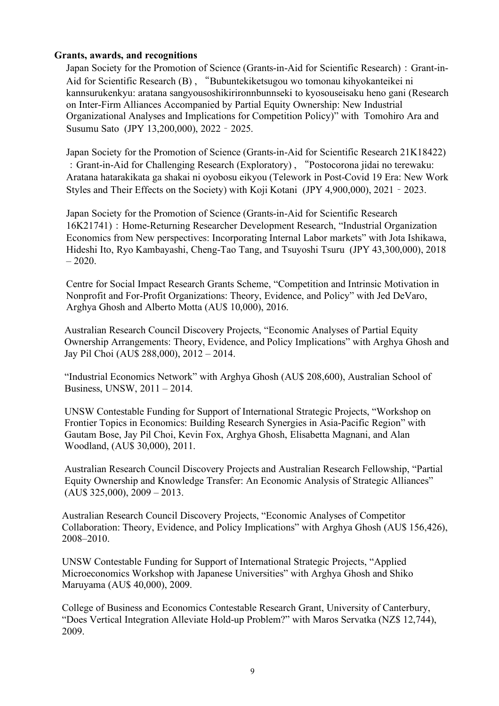## **Grants, awards, and recognitions**

Japan Society for the Promotion of Science (Grants-in-Aid for Scientific Research): Grant-in-Aid for Scientific Research (B) , "Bubuntekiketsugou wo tomonau kihyokanteikei ni kannsurukenkyu: aratana sangyousoshikirironnbunnseki to kyosouseisaku heno gani (Research on Inter-Firm Alliances Accompanied by Partial Equity Ownership: New Industrial Organizational Analyses and Implications for Competition Policy)" with Tomohiro Ara and Susumu Sato (JPY 13,200,000), 2022 – 2025.

Japan Society for the Promotion of Science (Grants-in-Aid for Scientific Research 21K18422) :Grant-in-Aid for Challenging Research (Exploratory) , "Postocorona jidai no terewaku: Aratana hatarakikata ga shakai ni oyobosu eikyou (Telework in Post-Covid 19 Era: New Work Styles and Their Effects on the Society) with Koji Kotani (JPY 4,900,000), 2021 – 2023.

Japan Society for the Promotion of Science (Grants-in-Aid for Scientific Research 16K21741):Home-Returning Researcher Development Research, "Industrial Organization Economics from New perspectives: Incorporating Internal Labor markets" with Jota Ishikawa, Hideshi Ito, Ryo Kambayashi, Cheng-Tao Tang, and Tsuyoshi Tsuru (JPY 43,300,000), 2018  $-2020.$ 

Centre for Social Impact Research Grants Scheme, "Competition and Intrinsic Motivation in Nonprofit and For-Profit Organizations: Theory, Evidence, and Policy" with Jed DeVaro, Arghya Ghosh and Alberto Motta (AU\$ 10,000), 2016.

 Australian Research Council Discovery Projects, "Economic Analyses of Partial Equity Ownership Arrangements: Theory, Evidence, and Policy Implications" with Arghya Ghosh and Jay Pil Choi (AU\$ 288,000), 2012 – 2014.

 "Industrial Economics Network" with Arghya Ghosh (AU\$ 208,600), Australian School of Business, UNSW, 2011 – 2014.

 UNSW Contestable Funding for Support of International Strategic Projects, "Workshop on Frontier Topics in Economics: Building Research Synergies in Asia-Pacific Region" with Gautam Bose, Jay Pil Choi, Kevin Fox, Arghya Ghosh, Elisabetta Magnani, and Alan Woodland, (AU\$ 30,000), 2011.

 Australian Research Council Discovery Projects and Australian Research Fellowship, "Partial Equity Ownership and Knowledge Transfer: An Economic Analysis of Strategic Alliances"  $(AU$ 325,000)$ ,  $2009 - 2013$ .

 Australian Research Council Discovery Projects, "Economic Analyses of Competitor Collaboration: Theory, Evidence, and Policy Implications" with Arghya Ghosh (AU\$ 156,426), 2008–2010.

 UNSW Contestable Funding for Support of International Strategic Projects, "Applied Microeconomics Workshop with Japanese Universities" with Arghya Ghosh and Shiko Maruyama (AU\$ 40,000), 2009.

 College of Business and Economics Contestable Research Grant, University of Canterbury, "Does Vertical Integration Alleviate Hold-up Problem?" with Maros Servatka (NZ\$ 12,744), 2009.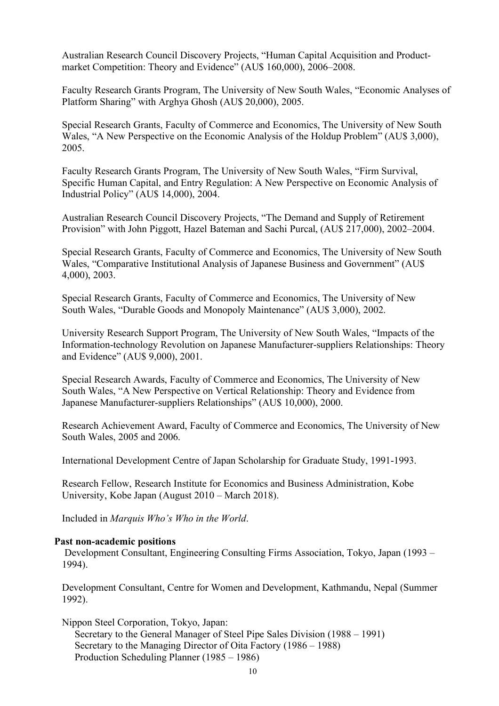Australian Research Council Discovery Projects, "Human Capital Acquisition and Product market Competition: Theory and Evidence" (AU\$ 160,000), 2006–2008.

 Faculty Research Grants Program, The University of New South Wales, "Economic Analyses of Platform Sharing" with Arghya Ghosh (AU\$ 20,000), 2005.

 Special Research Grants, Faculty of Commerce and Economics, The University of New South Wales, "A New Perspective on the Economic Analysis of the Holdup Problem" (AU\$ 3,000), 2005.

 Faculty Research Grants Program, The University of New South Wales, "Firm Survival, Specific Human Capital, and Entry Regulation: A New Perspective on Economic Analysis of Industrial Policy" (AU\$ 14,000), 2004.

 Australian Research Council Discovery Projects, "The Demand and Supply of Retirement Provision" with John Piggott, Hazel Bateman and Sachi Purcal, (AU\$ 217,000), 2002–2004.

 Special Research Grants, Faculty of Commerce and Economics, The University of New South Wales, "Comparative Institutional Analysis of Japanese Business and Government" (AU\$ 4,000), 2003.

 Special Research Grants, Faculty of Commerce and Economics, The University of New South Wales, "Durable Goods and Monopoly Maintenance" (AU\$ 3,000), 2002.

 University Research Support Program, The University of New South Wales, "Impacts of the Information-technology Revolution on Japanese Manufacturer-suppliers Relationships: Theory and Evidence" (AU\$ 9,000), 2001.

 Special Research Awards, Faculty of Commerce and Economics, The University of New South Wales, "A New Perspective on Vertical Relationship: Theory and Evidence from Japanese Manufacturer-suppliers Relationships" (AU\$ 10,000), 2000.

 Research Achievement Award, Faculty of Commerce and Economics, The University of New South Wales, 2005 and 2006.

International Development Centre of Japan Scholarship for Graduate Study, 1991-1993.

 Research Fellow, Research Institute for Economics and Business Administration, Kobe University, Kobe Japan (August 2010 – March 2018).

Included in *Marquis Who's Who in the World*.

#### **Past non-academic positions**

 Development Consultant, Engineering Consulting Firms Association, Tokyo, Japan (1993 – 1994).

 Development Consultant, Centre for Women and Development, Kathmandu, Nepal (Summer 1992).

Nippon Steel Corporation, Tokyo, Japan:

 Secretary to the General Manager of Steel Pipe Sales Division (1988 – 1991) Secretary to the Managing Director of Oita Factory (1986 – 1988) Production Scheduling Planner (1985 – 1986)